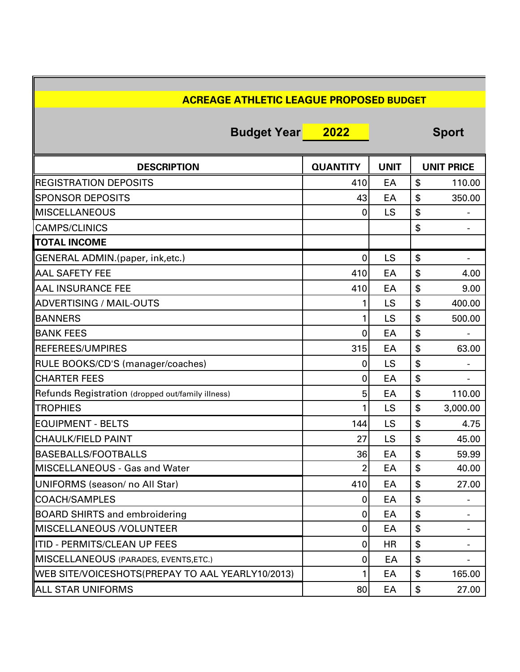| <b>ACREAGE ATHLETIC LEAGUE PROPOSED BUDGET</b>    |                         |             |    |                              |
|---------------------------------------------------|-------------------------|-------------|----|------------------------------|
| <b>Budget Year</b>                                | 2022                    |             |    | <b>Sport</b>                 |
| <b>DESCRIPTION</b>                                | <b>QUANTITY</b>         | <b>UNIT</b> |    | <b>UNIT PRICE</b>            |
| <b>REGISTRATION DEPOSITS</b>                      | 410                     | EA          | \$ | 110.00                       |
| <b>ISPONSOR DEPOSITS</b>                          | 43                      | EA          | \$ | 350.00                       |
| <b>IMISCELLANEOUS</b>                             | 0                       | LS          | \$ | $\qquad \qquad \blacksquare$ |
| <b>CAMPS/CLINICS</b>                              |                         |             | \$ | -                            |
| <b>TOTAL INCOME</b>                               |                         |             |    |                              |
| GENERAL ADMIN.(paper, ink,etc.)                   | 0                       | LS          | \$ |                              |
| <b>AAL SAFETY FEE</b>                             | 410                     | EA          | \$ | 4.00                         |
| <b>AAL INSURANCE FEE</b>                          | 410                     | EA          | \$ | 9.00                         |
| <b>ADVERTISING / MAIL-OUTS</b>                    |                         | LS          | \$ | 400.00                       |
| <b>BANNERS</b>                                    | 1                       | LS          | \$ | 500.00                       |
| <b>BANK FEES</b>                                  | 0                       | EA          | \$ |                              |
| <b>REFEREES/UMPIRES</b>                           | 315                     | EA          | \$ | 63.00                        |
| RULE BOOKS/CD'S (manager/coaches)                 | 0                       | LS          | \$ |                              |
| <b>CHARTER FEES</b>                               | 0                       | EA          | \$ |                              |
| Refunds Registration (dropped out/family illness) | 5                       | EA          | \$ | 110.00                       |
| <b>TROPHIES</b>                                   | 1                       | LS          | \$ | 3,000.00                     |
| <b>EQUIPMENT - BELTS</b>                          | 144                     | LS          | \$ | 4.75                         |
| <b>CHAULK/FIELD PAINT</b>                         | 27                      | LS          | \$ | 45.00                        |
| BASEBALLS/FOOTBALLS                               | 36                      | EA          | \$ | 59.99                        |
| MISCELLANEOUS - Gas and Water                     | $\overline{\mathbf{c}}$ | EA          | \$ | 40.00                        |
| UNIFORMS (season/ no All Star)                    | 410                     | EA          | \$ | 27.00                        |
| COACH/SAMPLES                                     | 0                       | EA          | \$ |                              |
| <b>BOARD SHIRTS and embroidering</b>              | 0                       | EA          | \$ |                              |
| <b>MISCELLANEOUS /VOLUNTEER</b>                   | 0                       | EA          | \$ |                              |
| ITID - PERMITS/CLEAN UP FEES                      | 0                       | HR          | \$ |                              |
| MISCELLANEOUS (PARADES, EVENTS, ETC.)             | 0                       | EA          | \$ |                              |
| WEB SITE/VOICESHOTS(PREPAY TO AAL YEARLY10/2013)  |                         | EA          | \$ | 165.00                       |
| <b>ALL STAR UNIFORMS</b>                          | 80                      | EA          | \$ | 27.00                        |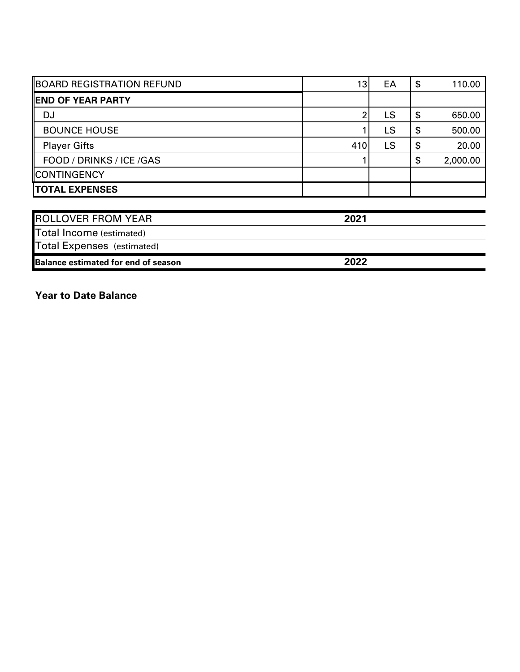| <b>BOARD REGISTRATION REFUND</b>  | 13   | EA | \$<br>110.00   |
|-----------------------------------|------|----|----------------|
| <b>END OF YEAR PARTY</b>          |      |    |                |
| DJ                                | 2    | LS | \$<br>650.00   |
| <b>BOUNCE HOUSE</b>               |      | LS | \$<br>500.00   |
| <b>Player Gifts</b>               | 410  | LS | \$<br>20.00    |
| FOOD / DRINKS / ICE /GAS          |      |    | \$<br>2,000.00 |
| <b>CONTINGENCY</b>                |      |    |                |
| <b>TOTAL EXPENSES</b>             |      |    |                |
| <b>ROLLOVER FROM YEAR</b>         | 2021 |    |                |
|                                   |      |    |                |
| Total Income (estimated)          |      |    |                |
| <b>Total Expenses</b> (estimated) |      |    |                |

**2 0 2 2**

**Balance estimated for end of season** 

Year to Date Balance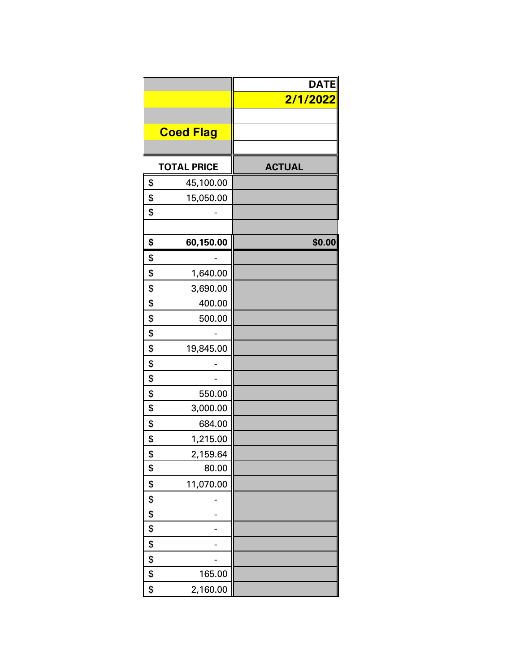|                    | <b>DATE</b><br>2/1/2022 |
|--------------------|-------------------------|
|                    |                         |
| <b>Coed Flag</b>   |                         |
|                    |                         |
| <b>TOTAL PRICE</b> | <b>ACTUAL</b>           |
| \$<br>45,100.00    |                         |
| \$<br>15,050.00    |                         |
| \$                 |                         |
|                    |                         |
| \$<br>60,150.00    | \$0.00                  |
| \$                 |                         |
| \$<br>1,640.00     |                         |
| \$<br>3,690.00     |                         |
| \$<br>400.00       |                         |
| \$<br>500.00       |                         |
| \$                 |                         |
| \$<br>19,845.00    |                         |
| \$                 |                         |
| \$                 |                         |
| \$<br>550.00       |                         |
| \$<br>3,000.00     |                         |
| \$<br>684.00       |                         |
| \$<br>1,215.00     |                         |
| \$<br>2,159.64     |                         |
| \$<br>80.00        |                         |
| \$<br>11,070.00    |                         |
| \$                 |                         |
| \$                 |                         |
| \$                 |                         |
| \$                 |                         |
| \$                 |                         |
| \$<br>165.00       |                         |
| \$<br>2,160.00     |                         |